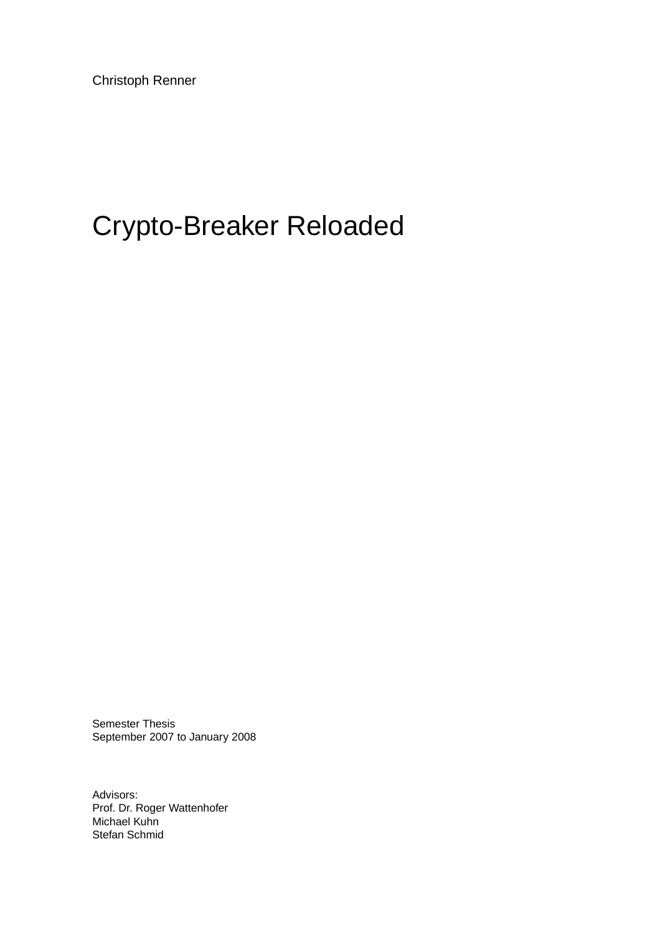Christoph Renner

# Crypto-Breaker Reloaded

Semester Thesis September 2007 to January 2008

Advisors: Prof. Dr. Roger Wattenhofer Michael Kuhn Stefan Schmid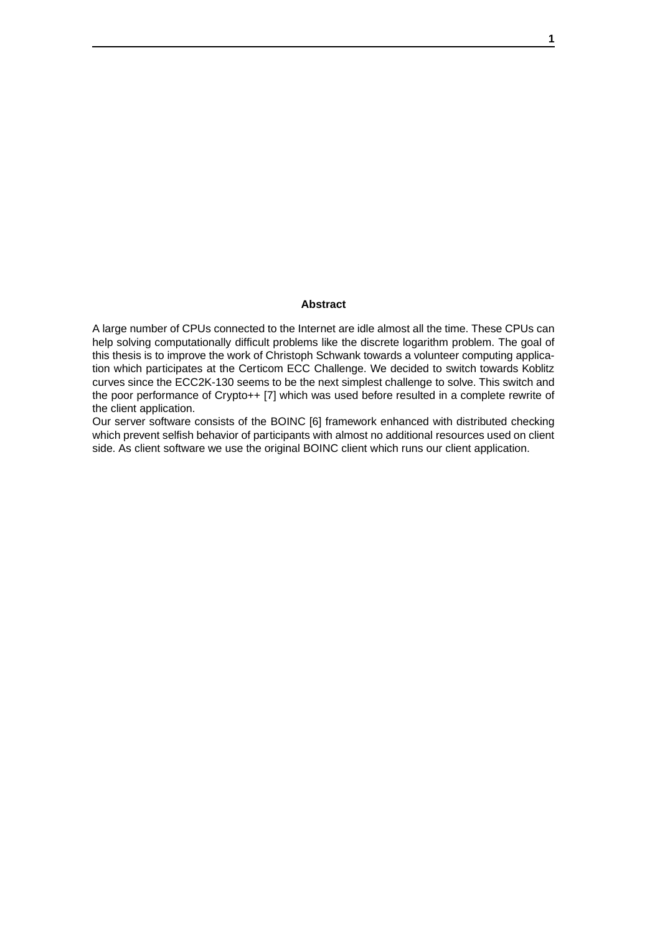#### **Abstract**

A large number of CPUs connected to the Internet are idle almost all the time. These CPUs can help solving computationally difficult problems like the discrete logarithm problem. The goal of this thesis is to improve the work of Christoph Schwank towards a volunteer computing application which participates at the Certicom ECC Challenge. We decided to switch towards Koblitz curves since the ECC2K-130 seems to be the next simplest challenge to solve. This switch and the poor performance of Crypto++ [7] which was used before resulted in a complete rewrite of the client application.

Our server software consists of the BOINC [6] framework enhanced with distributed checking which prevent selfish behavior of participants with almost no additional resources used on client side. As client software we use the original BOINC client which runs our client application.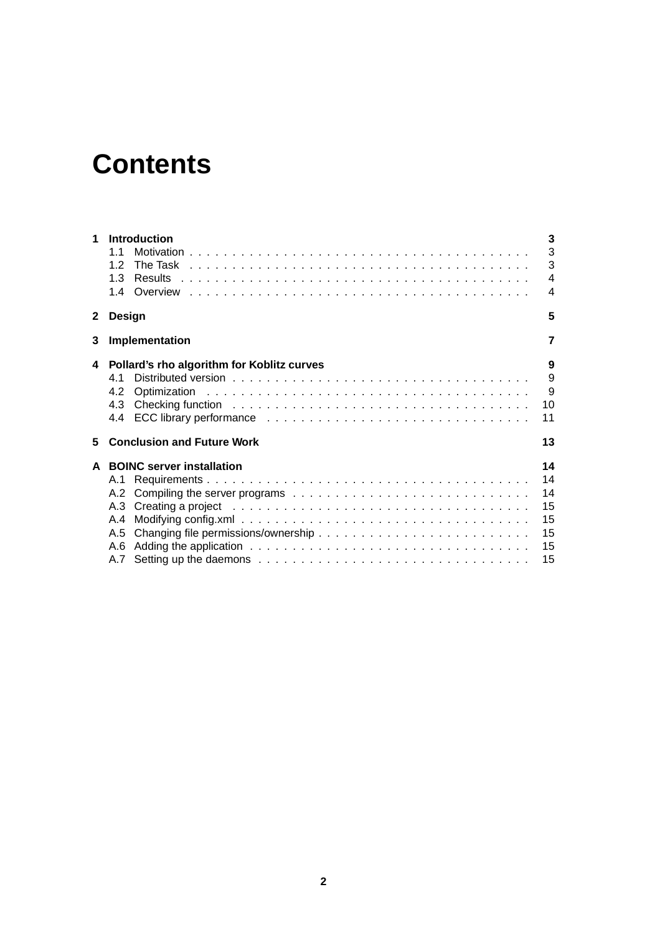# **Contents**

| 1            | <b>Introduction</b>                        | 3<br>3                   |  |  |
|--------------|--------------------------------------------|--------------------------|--|--|
|              | 11                                         | 3                        |  |  |
|              | 12                                         |                          |  |  |
|              | 1.3                                        | $\overline{4}$           |  |  |
|              |                                            | $\overline{\mathcal{A}}$ |  |  |
| $\mathbf{2}$ | 5<br>Design                                |                          |  |  |
| 3            | 7<br>Implementation                        |                          |  |  |
| 4            | Pollard's rho algorithm for Koblitz curves | 9                        |  |  |
|              | 41                                         | 9                        |  |  |
|              | 4.2                                        | 9                        |  |  |
|              | 4.3                                        | 10                       |  |  |
|              |                                            | 11                       |  |  |
| 5            | <b>Conclusion and Future Work</b>          | 13                       |  |  |
|              | A BOINC server installation                | 14                       |  |  |
|              |                                            | 14                       |  |  |
|              |                                            | 14                       |  |  |
|              |                                            | 15                       |  |  |
|              | A.4                                        | 15                       |  |  |
|              |                                            | 15                       |  |  |
|              | A.6                                        | 15                       |  |  |
|              |                                            | 15                       |  |  |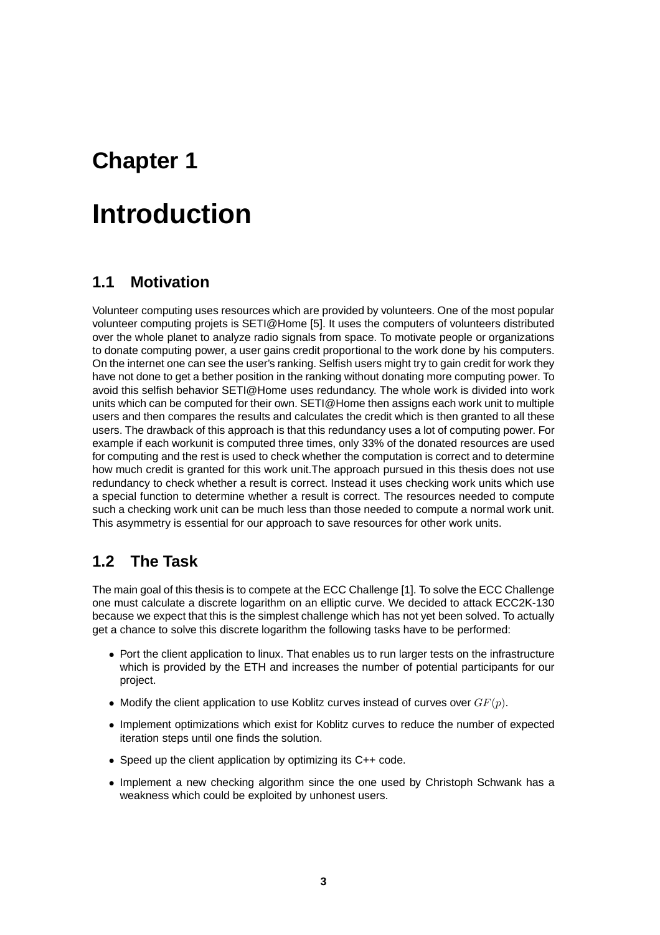## **Introduction**

### **1.1 Motivation**

Volunteer computing uses resources which are provided by volunteers. One of the most popular volunteer computing projets is SETI@Home [5]. It uses the computers of volunteers distributed over the whole planet to analyze radio signals from space. To motivate people or organizations to donate computing power, a user gains credit proportional to the work done by his computers. On the internet one can see the user's ranking. Selfish users might try to gain credit for work they have not done to get a bether position in the ranking without donating more computing power. To avoid this selfish behavior SETI@Home uses redundancy. The whole work is divided into work units which can be computed for their own. SETI@Home then assigns each work unit to multiple users and then compares the results and calculates the credit which is then granted to all these users. The drawback of this approach is that this redundancy uses a lot of computing power. For example if each workunit is computed three times, only 33% of the donated resources are used for computing and the rest is used to check whether the computation is correct and to determine how much credit is granted for this work unit.The approach pursued in this thesis does not use redundancy to check whether a result is correct. Instead it uses checking work units which use a special function to determine whether a result is correct. The resources needed to compute such a checking work unit can be much less than those needed to compute a normal work unit. This asymmetry is essential for our approach to save resources for other work units.

### **1.2 The Task**

The main goal of this thesis is to compete at the ECC Challenge [1]. To solve the ECC Challenge one must calculate a discrete logarithm on an elliptic curve. We decided to attack ECC2K-130 because we expect that this is the simplest challenge which has not yet been solved. To actually get a chance to solve this discrete logarithm the following tasks have to be performed:

- Port the client application to linux. That enables us to run larger tests on the infrastructure which is provided by the ETH and increases the number of potential participants for our project.
- Modify the client application to use Koblitz curves instead of curves over  $GF(p)$ .
- Implement optimizations which exist for Koblitz curves to reduce the number of expected iteration steps until one finds the solution.
- Speed up the client application by optimizing its C++ code.
- Implement a new checking algorithm since the one used by Christoph Schwank has a weakness which could be exploited by unhonest users.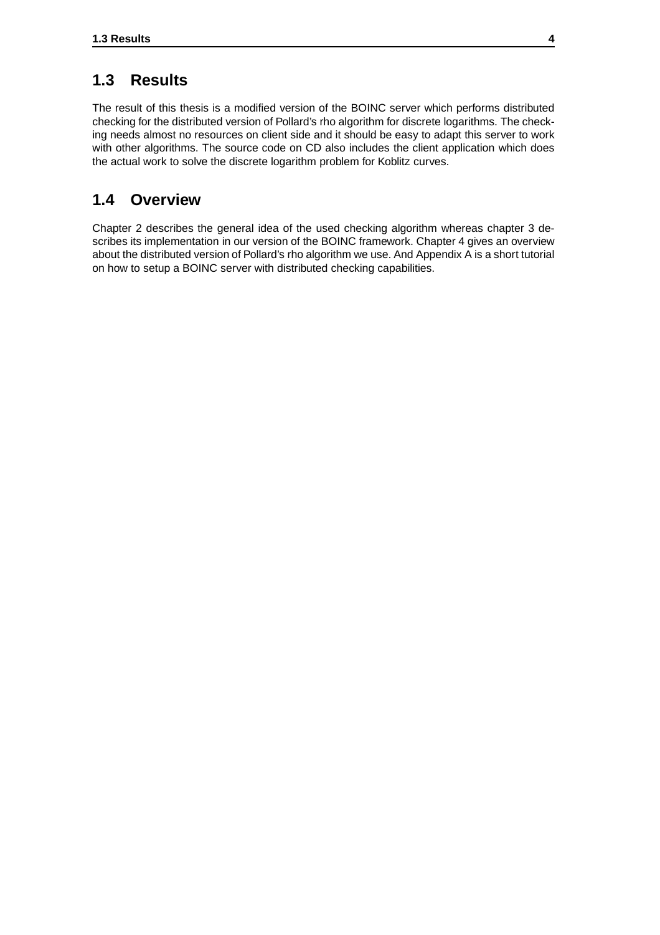### **1.3 Results**

The result of this thesis is a modified version of the BOINC server which performs distributed checking for the distributed version of Pollard's rho algorithm for discrete logarithms. The checking needs almost no resources on client side and it should be easy to adapt this server to work with other algorithms. The source code on CD also includes the client application which does the actual work to solve the discrete logarithm problem for Koblitz curves.

### **1.4 Overview**

Chapter 2 describes the general idea of the used checking algorithm whereas chapter 3 describes its implementation in our version of the BOINC framework. Chapter 4 gives an overview about the distributed version of Pollard's rho algorithm we use. And Appendix A is a short tutorial on how to setup a BOINC server with distributed checking capabilities.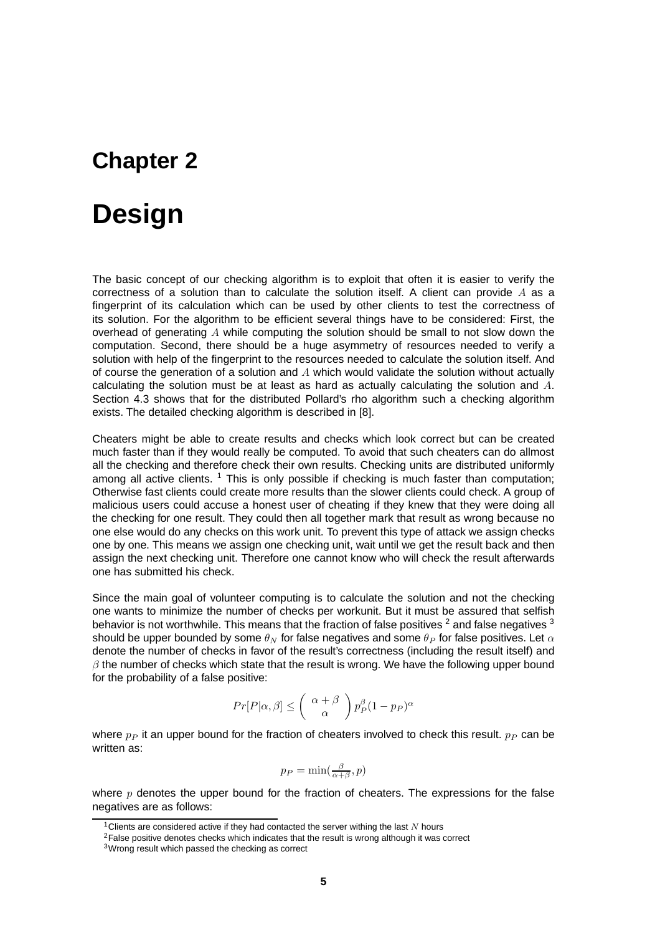# **Design**

The basic concept of our checking algorithm is to exploit that often it is easier to verify the correctness of a solution than to calculate the solution itself. A client can provide  $A$  as a fingerprint of its calculation which can be used by other clients to test the correctness of its solution. For the algorithm to be efficient several things have to be considered: First, the overhead of generating  $A$  while computing the solution should be small to not slow down the computation. Second, there should be a huge asymmetry of resources needed to verify a solution with help of the fingerprint to the resources needed to calculate the solution itself. And of course the generation of a solution and A which would validate the solution without actually calculating the solution must be at least as hard as actually calculating the solution and  $A$ . Section 4.3 shows that for the distributed Pollard's rho algorithm such a checking algorithm exists. The detailed checking algorithm is described in [8].

Cheaters might be able to create results and checks which look correct but can be created much faster than if they would really be computed. To avoid that such cheaters can do allmost all the checking and therefore check their own results. Checking units are distributed uniformly among all active clients.  $1$  This is only possible if checking is much faster than computation; Otherwise fast clients could create more results than the slower clients could check. A group of malicious users could accuse a honest user of cheating if they knew that they were doing all the checking for one result. They could then all together mark that result as wrong because no one else would do any checks on this work unit. To prevent this type of attack we assign checks one by one. This means we assign one checking unit, wait until we get the result back and then assign the next checking unit. Therefore one cannot know who will check the result afterwards one has submitted his check.

Since the main goal of volunteer computing is to calculate the solution and not the checking one wants to minimize the number of checks per workunit. But it must be assured that selfish behavior is not worthwhile. This means that the fraction of false positives  $^2$  and false negatives  $^3$ should be upper bounded by some  $\theta_N$  for false negatives and some  $\theta_P$  for false positives. Let  $\alpha$ denote the number of checks in favor of the result's correctness (including the result itself) and  $\beta$  the number of checks which state that the result is wrong. We have the following upper bound for the probability of a false positive:

$$
Pr[P|\alpha, \beta] \leq \left(\begin{array}{c} \alpha + \beta \\ \alpha \end{array}\right) p_P^{\beta} (1 - p_P)^{\alpha}
$$

where  $p_P$  it an upper bound for the fraction of cheaters involved to check this result.  $p_P$  can be written as:

$$
p_P = \min(\frac{\beta}{\alpha + \beta}, p)
$$

where  $p$  denotes the upper bound for the fraction of cheaters. The expressions for the false negatives are as follows:

<sup>&</sup>lt;sup>1</sup>Clients are considered active if they had contacted the server withing the last  $N$  hours

<sup>&</sup>lt;sup>2</sup>False positive denotes checks which indicates that the result is wrong although it was correct

<sup>3</sup>Wrong result which passed the checking as correct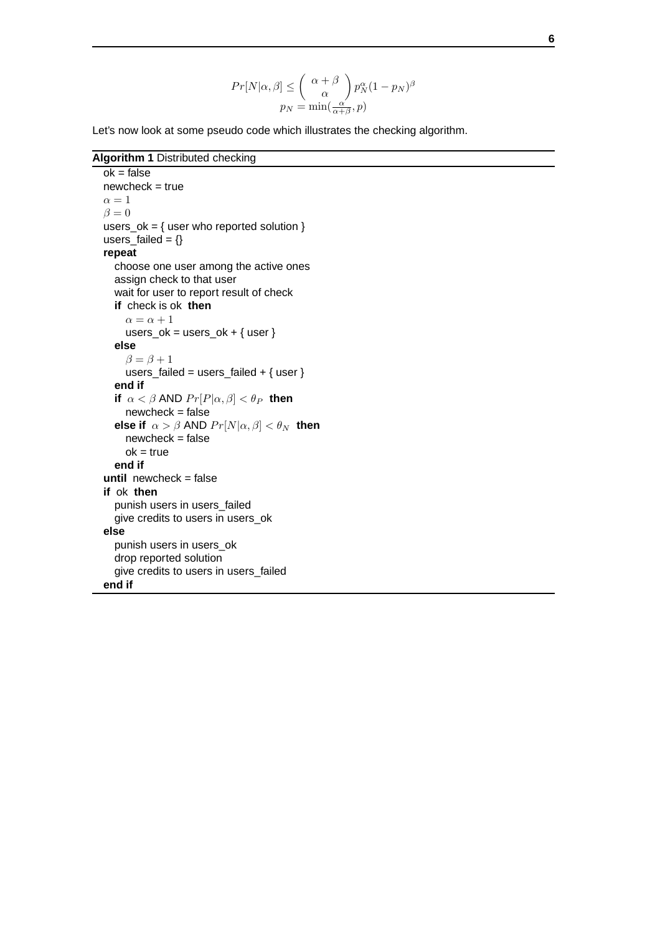$$
Pr[N|\alpha, \beta] \leq { \alpha + \beta \choose \alpha} p_N^{\alpha} (1 - p_N)^{\beta}
$$

$$
p_N = \min(\frac{\alpha}{\alpha + \beta}, p)
$$

Let's now look at some pseudo code which illustrates the checking algorithm.

**Algorithm 1** Distributed checking

```
ok = falsenewcheck = true\alpha = 1\beta = 0users ok = \{ user who reported solution \}users failed = \{\}repeat
  choose one user among the active ones
  assign check to that user
  wait for user to report result of check
  if check is ok then
     \alpha = \alpha + 1users_ok = users_ok + \{ user \}else
     \beta = \beta + 1users_failed = users_failed + \{ user \}end if
  if \alpha < \beta AND Pr[P|\alpha, \beta] < \theta_P then
     newcheck = false
  else if \alpha > \beta AND Pr[N|\alpha, \beta] < \theta_N then
     newcheck = false
     ok = trueend if
until newcheck = false
if ok then
  punish users in users_failed
  give credits to users in users_ok
else
  punish users in users_ok
  drop reported solution
  give credits to users in users_failed
end if
```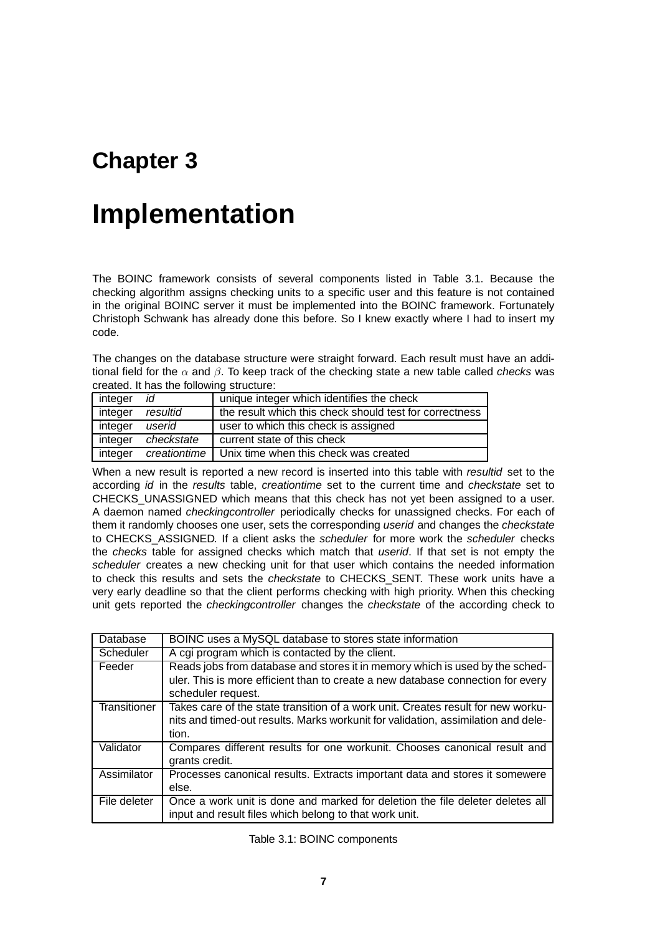# **Implementation**

The BOINC framework consists of several components listed in Table 3.1. Because the checking algorithm assigns checking units to a specific user and this feature is not contained in the original BOINC server it must be implemented into the BOINC framework. Fortunately Christoph Schwank has already done this before. So I knew exactly where I had to insert my code.

The changes on the database structure were straight forward. Each result must have an additional field for the  $\alpha$  and  $\beta$ . To keep track of the checking state a new table called *checks* was created. It has the following structure:

| integer | id           | unique integer which identifies the check               |
|---------|--------------|---------------------------------------------------------|
| integer | resultid     | the result which this check should test for correctness |
| integer | userid       | user to which this check is assigned                    |
| integer | checkstate   | current state of this check                             |
| integer | creationtime | Unix time when this check was created                   |

When a new result is reported a new record is inserted into this table with resultid set to the according *id* in the results table, *creationtime* set to the current time and *checkstate* set to CHECKS\_UNASSIGNED which means that this check has not yet been assigned to a user. A daemon named checkingcontroller periodically checks for unassigned checks. For each of them it randomly chooses one user, sets the corresponding userid and changes the checkstate to CHECKS ASSIGNED. If a client asks the scheduler for more work the scheduler checks the checks table for assigned checks which match that userid. If that set is not empty the scheduler creates a new checking unit for that user which contains the needed information to check this results and sets the *checkstate* to CHECKS SENT. These work units have a very early deadline so that the client performs checking with high priority. When this checking unit gets reported the *checkingcontroller* changes the *checkstate* of the according check to

| Database     | BOINC uses a MySQL database to stores state information                                                                                                                               |  |  |
|--------------|---------------------------------------------------------------------------------------------------------------------------------------------------------------------------------------|--|--|
| Scheduler    | A cgi program which is contacted by the client.                                                                                                                                       |  |  |
| Feeder       | Reads jobs from database and stores it in memory which is used by the sched-<br>uler. This is more efficient than to create a new database connection for every<br>scheduler request. |  |  |
| Transitioner | Takes care of the state transition of a work unit. Creates result for new worku-<br>nits and timed-out results. Marks workunit for validation, assimilation and dele-<br>tion.        |  |  |
| Validator    | Compares different results for one workunit. Chooses canonical result and<br>grants credit.                                                                                           |  |  |
| Assimilator  | Processes canonical results. Extracts important data and stores it somewere<br>else.                                                                                                  |  |  |
| File deleter | Once a work unit is done and marked for deletion the file deleter deletes all<br>input and result files which belong to that work unit.                                               |  |  |

Table 3.1: BOINC components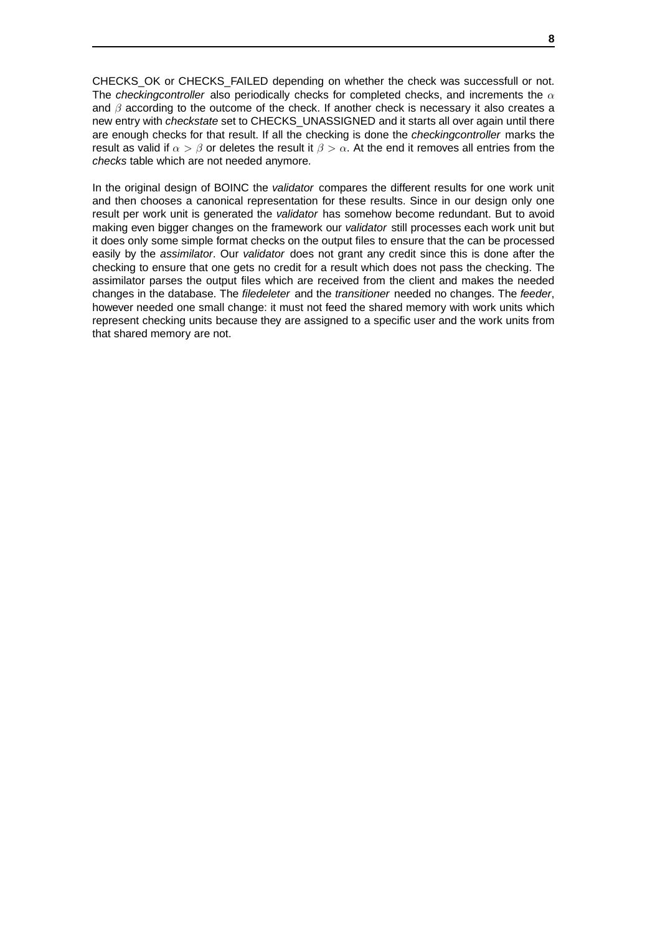CHECKS OK or CHECKS FAILED depending on whether the check was successfull or not. The checkingcontroller also periodically checks for completed checks, and increments the  $\alpha$ and  $\beta$  according to the outcome of the check. If another check is necessary it also creates a new entry with *checkstate* set to CHECKS UNASSIGNED and it starts all over again until there are enough checks for that result. If all the checking is done the checkingcontroller marks the result as valid if  $\alpha > \beta$  or deletes the result it  $\beta > \alpha$ . At the end it removes all entries from the checks table which are not needed anymore.

In the original design of BOINC the validator compares the different results for one work unit and then chooses a canonical representation for these results. Since in our design only one result per work unit is generated the validator has somehow become redundant. But to avoid making even bigger changes on the framework our validator still processes each work unit but it does only some simple format checks on the output files to ensure that the can be processed easily by the *assimilator*. Our *validator* does not grant any credit since this is done after the checking to ensure that one gets no credit for a result which does not pass the checking. The assimilator parses the output files which are received from the client and makes the needed changes in the database. The filedeleter and the transitioner needed no changes. The feeder, however needed one small change: it must not feed the shared memory with work units which represent checking units because they are assigned to a specific user and the work units from that shared memory are not.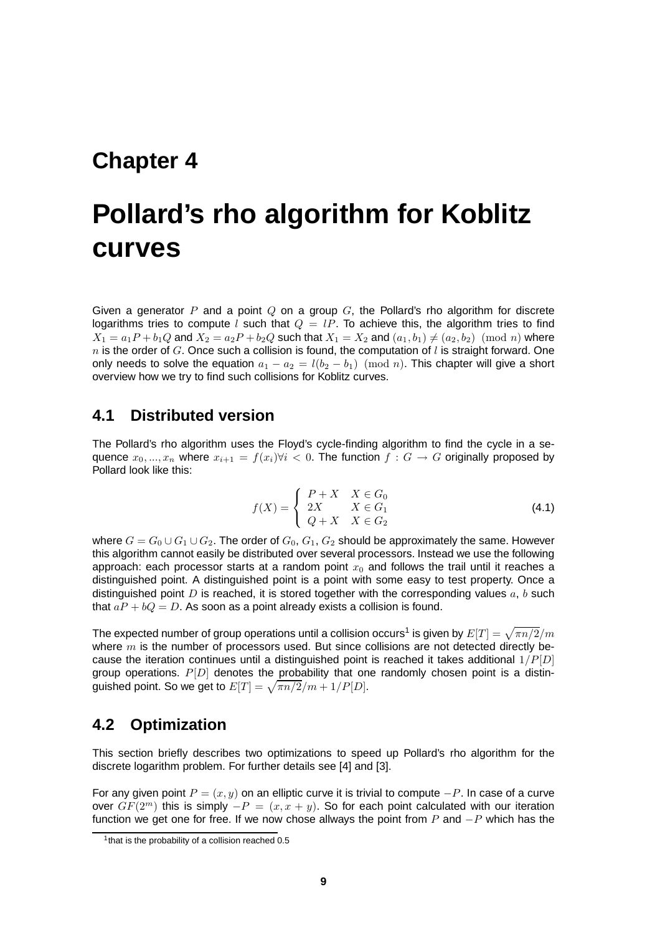# **Pollard's rho algorithm for Koblitz curves**

Given a generator P and a point  $Q$  on a group  $G$ , the Pollard's rho algorithm for discrete logarithms tries to compute l such that  $Q = lP$ . To achieve this, the algorithm tries to find  $X_1 = a_1P + b_1Q$  and  $X_2 = a_2P + b_2Q$  such that  $X_1 = X_2$  and  $(a_1, b_1) \neq (a_2, b_2) \pmod{n}$  where n is the order of G. Once such a collision is found, the computation of l is straight forward. One only needs to solve the equation  $a_1 - a_2 = l(b_2 - b_1) \pmod{n}$ . This chapter will give a short overview how we try to find such collisions for Koblitz curves.

#### **4.1 Distributed version**

The Pollard's rho algorithm uses the Floyd's cycle-finding algorithm to find the cycle in a sequence  $x_0, ..., x_n$  where  $x_{i+1} = f(x_i) \forall i < 0$ . The function  $f : G \to G$  originally proposed by Pollard look like this:

$$
f(X) = \begin{cases} P + X & X \in G_0 \\ 2X & X \in G_1 \\ Q + X & X \in G_2 \end{cases}
$$
 (4.1)

where  $G = G_0 \cup G_1 \cup G_2$ . The order of  $G_0, G_1, G_2$  should be approximately the same. However this algorithm cannot easily be distributed over several processors. Instead we use the following approach: each processor starts at a random point  $x_0$  and follows the trail until it reaches a distinguished point. A distinguished point is a point with some easy to test property. Once a distinguished point  $D$  is reached, it is stored together with the corresponding values  $a, b$  such that  $aP + bQ = D$ . As soon as a point already exists a collision is found.

The expected number of group operations until a collision occurs<sup>1</sup> is given by  $E[T] = \sqrt{\pi n/2}/m$ where  $m$  is the number of processors used. But since collisions are not detected directly because the iteration continues until a distinguished point is reached it takes additional  $1/P[D]$ group operations.  $P[D]$  denotes the probability that one randomly chosen point is a distinguished point. So we get to  $E[T] = \sqrt{\pi n/2}/m + 1/P[D].$ 

#### **4.2 Optimization**

This section briefly describes two optimizations to speed up Pollard's rho algorithm for the discrete logarithm problem. For further details see [4] and [3].

For any given point  $P = (x, y)$  on an elliptic curve it is trivial to compute  $-P$ . In case of a curve over  $GF(2<sup>m</sup>)$  this is simply  $-P = (x, x + y)$ . So for each point calculated with our iteration function we get one for free. If we now chose allways the point from P and  $-P$  which has the

<sup>&</sup>lt;sup>1</sup> that is the probability of a collision reached 0.5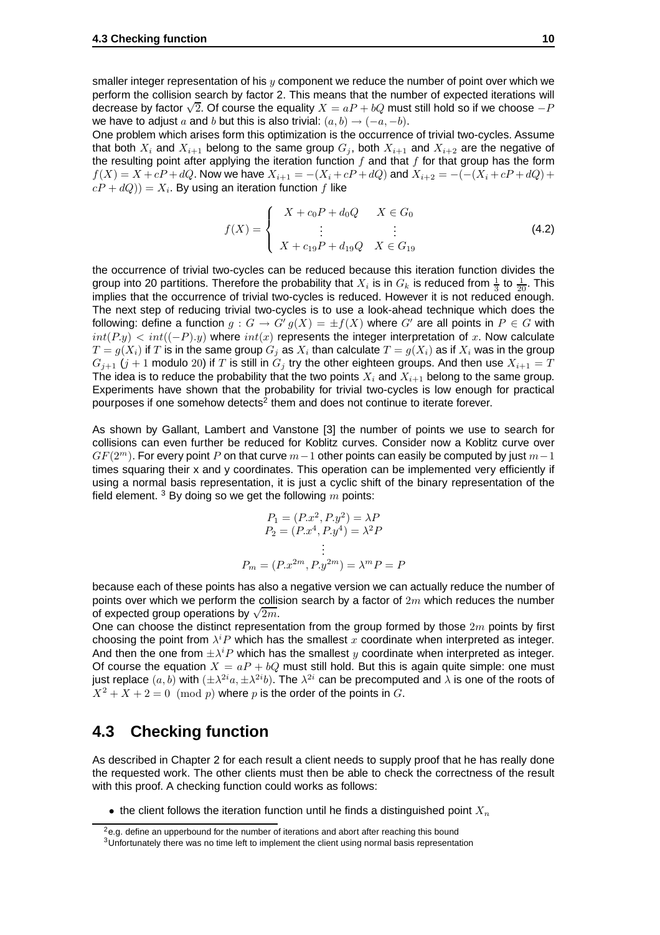smaller integer representation of his  $y$  component we reduce the number of point over which we perform the collision search by factor 2. This means that the number of expected iterations will decrease by factor  $\sqrt{2}$ . Of course the equality  $X = aP + bQ$  must still hold so if we choose  $-P$ we have to adjust a and b but this is also trivial:  $(a, b) \rightarrow (-a, -b)$ .

One problem which arises form this optimization is the occurrence of trivial two-cycles. Assume that both  $X_i$  and  $X_{i+1}$  belong to the same group  $G_i$ , both  $X_{i+1}$  and  $X_{i+2}$  are the negative of the resulting point after applying the iteration function  $f$  and that  $f$  for that group has the form  $f(X) = X + cP + dQ$ . Now we have  $X_{i+1} = -(X_i + cP + dQ)$  and  $X_{i+2} = -(-(X_i + cP + dQ) + dQ)$  $cP+dQ))=X_i.$  By using an iteration function  $f$  like

$$
f(X) = \begin{cases} X + c_0 P + d_0 Q & X \in G_0 \\ \vdots & \vdots \\ X + c_{19} P + d_{19} Q & X \in G_{19} \end{cases}
$$
 (4.2)

the occurrence of trivial two-cycles can be reduced because this iteration function divides the group into 20 partitions. Therefore the probability that  $X_i$  is in  $G_k$  is reduced from  $\frac{1}{3}$  to  $\frac{1}{20}.$  This implies that the occurrence of trivial two-cycles is reduced. However it is not reduced enough. The next step of reducing trivial two-cycles is to use a look-ahead technique which does the following: define a function  $g: G \to G'$   $g(X) = \pm f(X)$  where  $G'$  are all points in  $P \in G$  with  $int(P,y) < int((-P), y)$  where  $int(x)$  represents the integer interpretation of x. Now calculate  $T=g(X_i)$  if  $T$  is in the same group  $G_j$  as  $X_i$  than calculate  $T=g(X_i)$  as if  $X_i$  was in the group  $G_{i+1}$  ( $j+1$  modulo 20) if T is still in  $G_i$  try the other eighteen groups. And then use  $X_{i+1} = T$ The idea is to reduce the probability that the two points  $X_i$  and  $X_{i+1}$  belong to the same group. Experiments have shown that the probability for trivial two-cycles is low enough for practical pourposes if one somehow detects<sup>2</sup> them and does not continue to iterate forever.

As shown by Gallant, Lambert and Vanstone [3] the number of points we use to search for collisions can even further be reduced for Koblitz curves. Consider now a Koblitz curve over  $GF(2<sup>m</sup>)$ . For every point P on that curve  $m-1$  other points can easily be computed by just  $m-1$ times squaring their x and y coordinates. This operation can be implemented very efficiently if using a normal basis representation, it is just a cyclic shift of the binary representation of the field element.  $3$  By doing so we get the following m points:

$$
P_1 = (P.x^2, P.y^2) = \lambda P
$$
  
\n
$$
P_2 = (P.x^4, P.y^4) = \lambda^2 P
$$
  
\n:  
\n:  
\n
$$
P_m = (P.x^{2m}, P.y^{2m}) = \lambda^m P = P
$$

because each of these points has also a negative version we can actually reduce the number of points over which we perform the collision search by a factor of  $2m$  which reduces the number  $\frac{1}{2m}$  of expected group operations by  $\sqrt{2m}$ .

One can choose the distinct representation from the group formed by those  $2m$  points by first choosing the point from  $\lambda^i P$  which has the smallest  $x$  coordinate when interpreted as integer. And then the one from  $\pm \lambda^i P$  which has the smallest y coordinate when interpreted as integer. Of course the equation  $X = aP + bQ$  must still hold. But this is again quite simple: one must just replace  $(a,b)$  with  $(\pm \lambda^{2i}a, \pm \lambda^{2i}b)$ . The  $\lambda^{2i}$  can be precomputed and  $\lambda$  is one of the roots of  $X^2 + X + 2 = 0 \pmod{p}$  where p is the order of the points in G.

## **4.3 Checking function**

As described in Chapter 2 for each result a client needs to supply proof that he has really done the requested work. The other clients must then be able to check the correctness of the result with this proof. A checking function could works as follows:

• the client follows the iteration function until he finds a distinguished point  $X_n$ 

<sup>&</sup>lt;sup>2</sup>e.g. define an upperbound for the number of iterations and abort after reaching this bound

<sup>&</sup>lt;sup>3</sup>Unfortunately there was no time left to implement the client using normal basis representation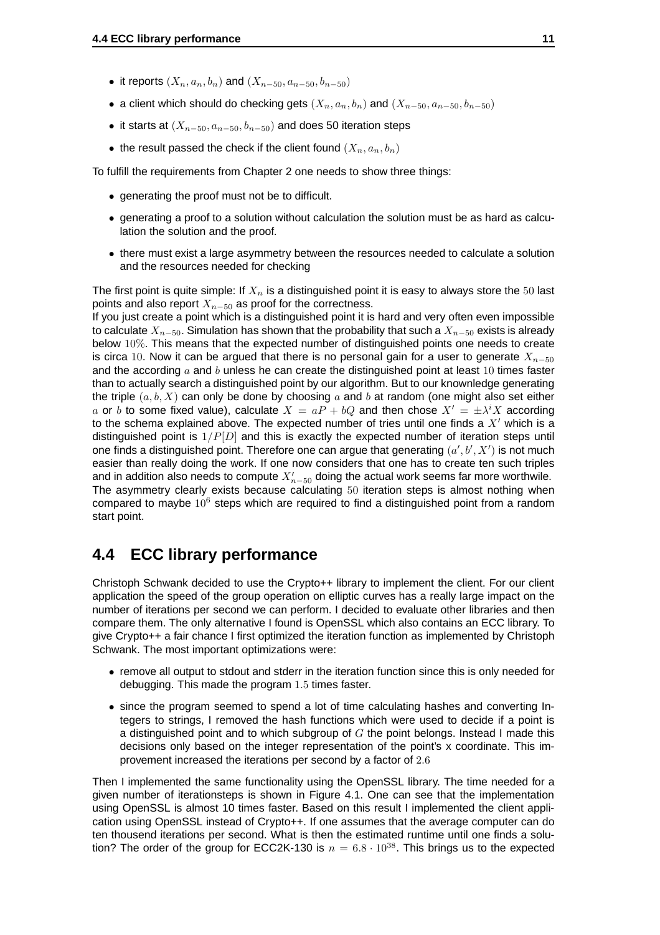- it reports  $(X_n, a_n, b_n)$  and  $(X_{n-50}, a_{n-50}, b_{n-50})$
- a client which should do checking gets  $(X_n, a_n, b_n)$  and  $(X_{n-50}, a_{n-50}, b_{n-50})$
- it starts at  $(X_{n-50}, a_{n-50}, b_{n-50})$  and does 50 iteration steps
- the result passed the check if the client found  $(X_n, a_n, b_n)$

To fulfill the requirements from Chapter 2 one needs to show three things:

- generating the proof must not be to difficult.
- generating a proof to a solution without calculation the solution must be as hard as calculation the solution and the proof.
- there must exist a large asymmetry between the resources needed to calculate a solution and the resources needed for checking

The first point is quite simple: If  $X_n$  is a distinguished point it is easy to always store the 50 last points and also report  $X_{n-50}$  as proof for the correctness.

If you just create a point which is a distinguished point it is hard and very often even impossible to calculate  $X_{n-50}$ . Simulation has shown that the probability that such a  $X_{n-50}$  exists is already below 10%. This means that the expected number of distinguished points one needs to create is circa 10. Now it can be argued that there is no personal gain for a user to generate  $X_{n-50}$ and the according  $a$  and  $b$  unless he can create the distinguished point at least 10 times faster than to actually search a distinguished point by our algorithm. But to our knownledge generating the triple  $(a, b, X)$  can only be done by choosing a and b at random (one might also set either a or b to some fixed value), calculate  $X = aP + bQ$  and then chose  $X' = \pm \lambda^i X$  according to the schema explained above. The expected number of tries until one finds a  $X'$  which is a distinguished point is  $1/P[D]$  and this is exactly the expected number of iteration steps until one finds a distinguished point. Therefore one can argue that generating  $(a',b',X')$  is not much easier than really doing the work. If one now considers that one has to create ten such triples and in addition also needs to compute  $X^\prime_{n-50}$  doing the actual work seems far more worthwile. The asymmetry clearly exists because calculating 50 iteration steps is almost nothing when compared to maybe  $10^6$  steps which are required to find a distinguished point from a random start point.

#### **4.4 ECC library performance**

Christoph Schwank decided to use the Crypto++ library to implement the client. For our client application the speed of the group operation on elliptic curves has a really large impact on the number of iterations per second we can perform. I decided to evaluate other libraries and then compare them. The only alternative I found is OpenSSL which also contains an ECC library. To give Crypto++ a fair chance I first optimized the iteration function as implemented by Christoph Schwank. The most important optimizations were:

- remove all output to stdout and stderr in the iteration function since this is only needed for debugging. This made the program 1.5 times faster.
- since the program seemed to spend a lot of time calculating hashes and converting Integers to strings, I removed the hash functions which were used to decide if a point is a distinguished point and to which subgroup of  $G$  the point belongs. Instead I made this decisions only based on the integer representation of the point's x coordinate. This improvement increased the iterations per second by a factor of 2.6

Then I implemented the same functionality using the OpenSSL library. The time needed for a given number of iterationsteps is shown in Figure 4.1. One can see that the implementation using OpenSSL is almost 10 times faster. Based on this result I implemented the client application using OpenSSL instead of Crypto++. If one assumes that the average computer can do ten thousend iterations per second. What is then the estimated runtime until one finds a solution? The order of the group for ECC2K-130 is  $n = 6.8 \cdot 10^{38}$ . This brings us to the expected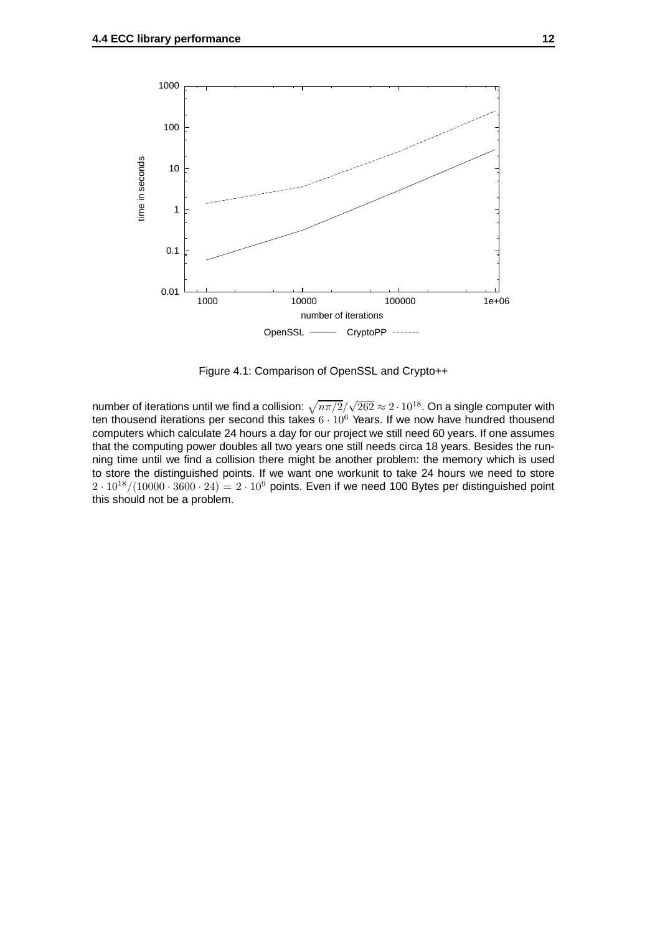

Figure 4.1: Comparison of OpenSSL and Crypto++

number of iterations until we find a collision:  $\sqrt{n\pi/2}/\sqrt{262}\approx 2\cdot 10^{18}.$  On a single computer with ten thousend iterations per second this takes  $6 \cdot 10^6$  Years. If we now have hundred thousend computers which calculate 24 hours a day for our project we still need 60 years. If one assumes that the computing power doubles all two years one still needs circa 18 years. Besides the running time until we find a collision there might be another problem: the memory which is used to store the distinguished points. If we want one workunit to take 24 hours we need to store  $2 \cdot 10^{18}/(10000 \cdot 3600 \cdot 24) = 2 \cdot 10^9$  points. Even if we need 100 Bytes per distinguished point this should not be a problem.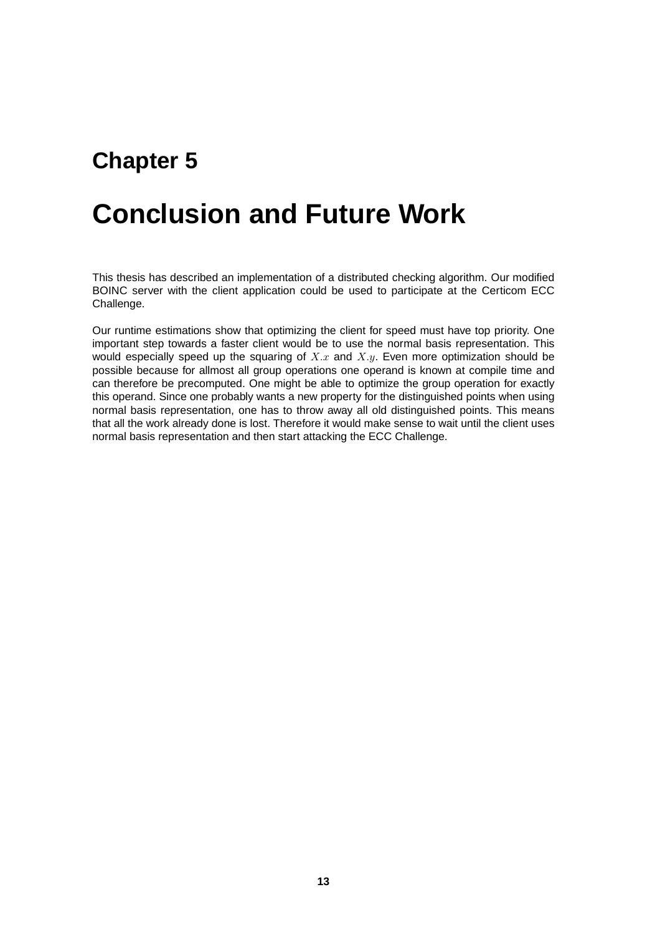# **Conclusion and Future Work**

This thesis has described an implementation of a distributed checking algorithm. Our modified BOINC server with the client application could be used to participate at the Certicom ECC Challenge.

Our runtime estimations show that optimizing the client for speed must have top priority. One important step towards a faster client would be to use the normal basis representation. This would especially speed up the squaring of  $X.x$  and  $X.y$ . Even more optimization should be possible because for allmost all group operations one operand is known at compile time and can therefore be precomputed. One might be able to optimize the group operation for exactly this operand. Since one probably wants a new property for the distinguished points when using normal basis representation, one has to throw away all old distinguished points. This means that all the work already done is lost. Therefore it would make sense to wait until the client uses normal basis representation and then start attacking the ECC Challenge.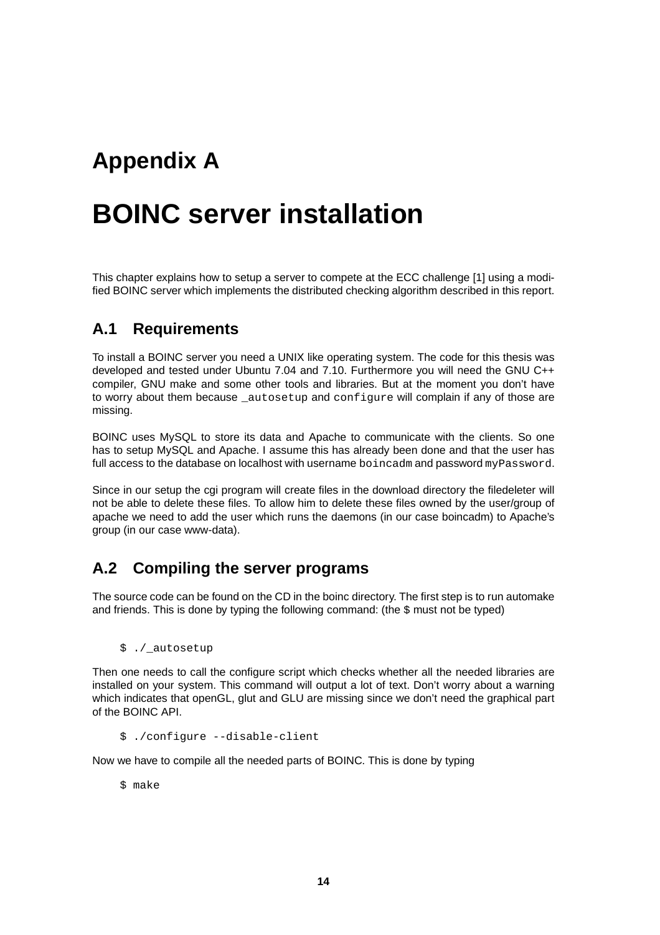## **Appendix A**

## **BOINC server installation**

This chapter explains how to setup a server to compete at the ECC challenge [1] using a modified BOINC server which implements the distributed checking algorithm described in this report.

### **A.1 Requirements**

To install a BOINC server you need a UNIX like operating system. The code for this thesis was developed and tested under Ubuntu 7.04 and 7.10. Furthermore you will need the GNU C++ compiler, GNU make and some other tools and libraries. But at the moment you don't have to worry about them because autosetup and configure will complain if any of those are missing.

BOINC uses MySQL to store its data and Apache to communicate with the clients. So one has to setup MySQL and Apache. I assume this has already been done and that the user has full access to the database on localhost with username boincadm and password myPassword.

Since in our setup the cgi program will create files in the download directory the filedeleter will not be able to delete these files. To allow him to delete these files owned by the user/group of apache we need to add the user which runs the daemons (in our case boincadm) to Apache's group (in our case www-data).

### **A.2 Compiling the server programs**

The source code can be found on the CD in the boinc directory. The first step is to run automake and friends. This is done by typing the following command: (the  $\ddot{\circ}$  must not be typed)

\$ ./\_autosetup

Then one needs to call the configure script which checks whether all the needed libraries are installed on your system. This command will output a lot of text. Don't worry about a warning which indicates that openGL, glut and GLU are missing since we don't need the graphical part of the BOINC API.

\$ ./configure --disable-client

Now we have to compile all the needed parts of BOINC. This is done by typing

\$ make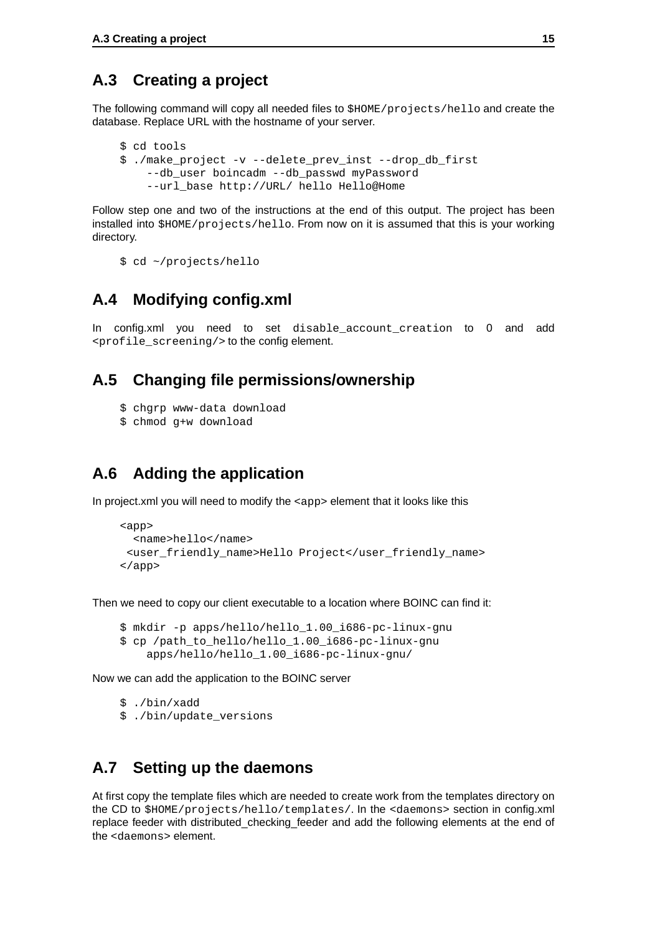### **A.3 Creating a project**

The following command will copy all needed files to \$HOME/projects/hello and create the database. Replace URL with the hostname of your server.

```
$ cd tools
$ ./make_project -v --delete_prev_inst --drop_db_first
    --db_user boincadm --db_passwd myPassword
    --url_base http://URL/ hello Hello@Home
```
Follow step one and two of the instructions at the end of this output. The project has been installed into \$HOME/projects/hello. From now on it is assumed that this is your working directory.

```
$ cd ~/projects/hello
```
### **A.4 Modifying config.xml**

In config.xml you need to set disable\_account\_creation to 0 and add <profile\_screening/> to the config element.

### **A.5 Changing file permissions/ownership**

- \$ chgrp www-data download
- \$ chmod g+w download

### **A.6 Adding the application**

In project.xml you will need to modify the <app> element that it looks like this

```
<app>
 <name>hello</name>
<user_friendly_name>Hello Project</user_friendly_name>
</app>
```
Then we need to copy our client executable to a location where BOINC can find it:

```
$ mkdir -p apps/hello/hello_1.00_i686-pc-linux-gnu
$ cp /path_to_hello/hello_1.00_i686-pc-linux-gnu
    apps/hello/hello_1.00_i686-pc-linux-gnu/
```
Now we can add the application to the BOINC server

```
$ ./bin/xadd
$ ./bin/update versions
```
#### **A.7 Setting up the daemons**

At first copy the template files which are needed to create work from the templates directory on the CD to \$HOME/projects/hello/templates/. In the <daemons> section in config.xml replace feeder with distributed checking feeder and add the following elements at the end of the <daemons> element.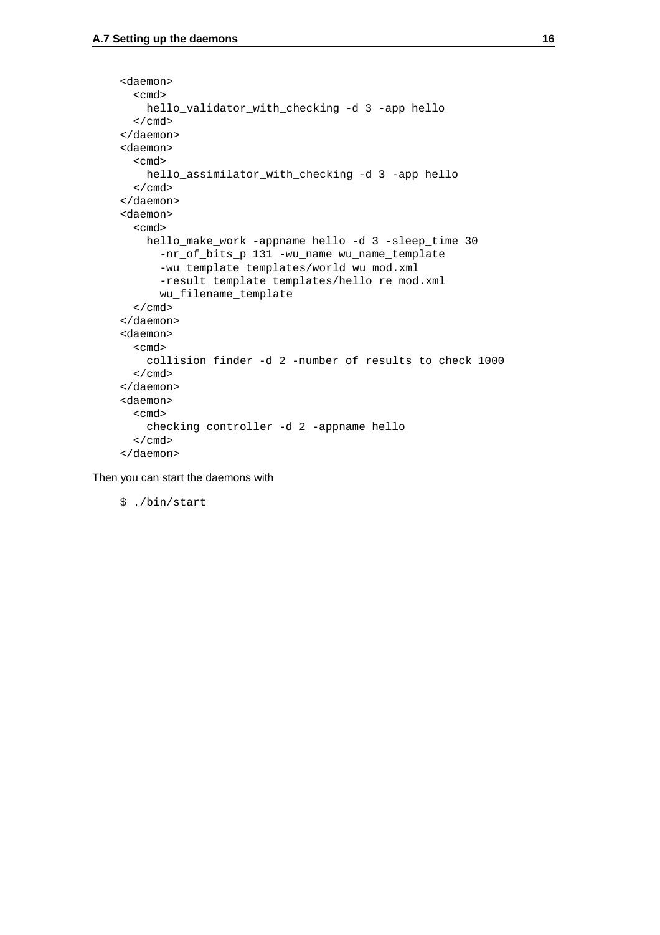```
<daemon>
  <cmd>
    hello validator with checking -d 3 -app hello
  </cmd>
</daemon>
<daemon>
  <cmd>
   hello_assimilator_with_checking -d 3 -app hello
  </cmd>
</daemon>
<daemon>
  <cmd>
    hello_make_work -appname hello -d 3 -sleep_time 30
      -nr_of_bits_p 131 -wu_name wu_name_template
      -wu_template templates/world_wu_mod.xml
      -result_template templates/hello_re_mod.xml
      wu_filename_template
  </cmd>
</daemon>
<daemon>
  <cmd>
    collision finder -d 2 -number of results to check 1000
  </cmd>
</daemon>
<daemon>
  <cmd>
    checking_controller -d 2 -appname hello
  \langle cmd\rangle</daemon>
```
Then you can start the daemons with

\$ ./bin/start